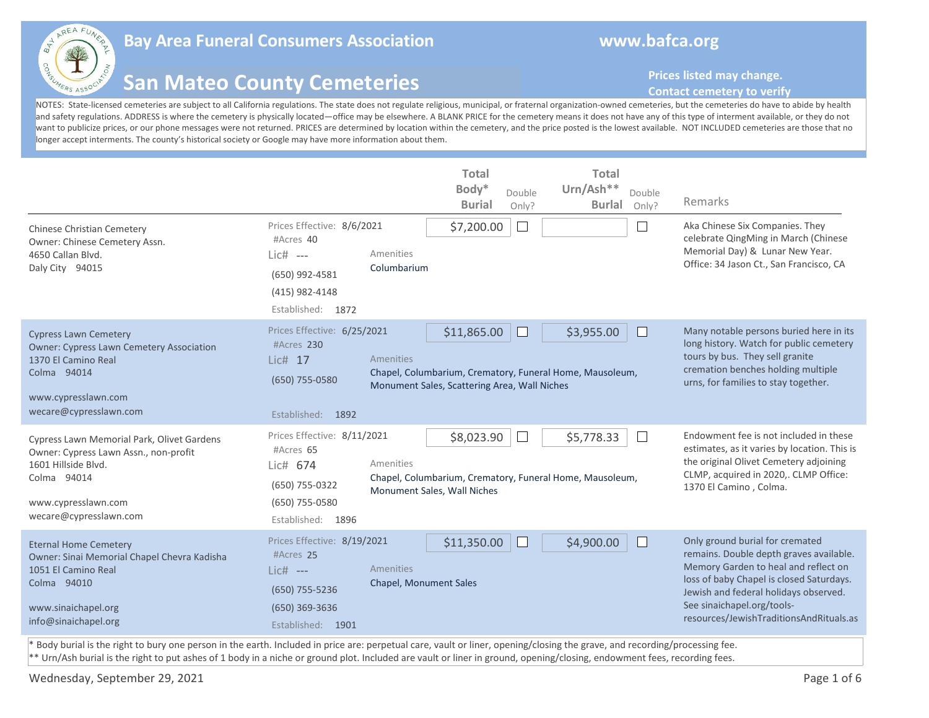

## **Bay Area Funeral Consumers Association www.bafca.org**

## **San Mateo County Cemeteries**

**Prices listed may change.** 

## **Contact cemetery to verify**

NOTES: State-licensed cemeteries are subject to all California regulations. The state does not regulate religious, municipal, or fraternal organization-owned cemeteries, but the cemeteries do have to abide by health and safety regulations. ADDRESS is where the cemetery is physically located—office may be elsewhere. A BLANK PRICE for the cemetery means it does not have any of this type of interment available, or they do not want to publicize prices, or our phone messages were not returned. PRICES are determined by location within the cemetery, and the price posted is the lowest available. NOT INCLUDED cemeteries are those that no longer accept interments. The county's historical society or Google may have more information about them.

| <b>Chinese Christian Cemetery</b><br>Owner: Chinese Cemetery Assn.<br>4650 Callan Blvd.<br>Daly City 94015                                                                 | Prices Effective: 8/6/2021<br>#Acres 40<br>$Lie#$ ---<br>(650) 992-4581<br>(415) 982-4148<br>Established: 1872  | <b>Total</b><br>Body*<br>Double<br><b>Burial</b><br>Only?<br>\$7,200.00<br>$\mathbf{L}$<br>Amenities<br>Columbarium                       | <b>Total</b><br>Urn/Ash**<br>Double<br><b>Burlal</b><br>Only?<br>$\mathbf{I}$ | Remarks<br>Aka Chinese Six Companies. They<br>celebrate QingMing in March (Chinese<br>Memorial Day) & Lunar New Year.<br>Office: 34 Jason Ct., San Francisco, CA                                                                                                                 |
|----------------------------------------------------------------------------------------------------------------------------------------------------------------------------|-----------------------------------------------------------------------------------------------------------------|-------------------------------------------------------------------------------------------------------------------------------------------|-------------------------------------------------------------------------------|----------------------------------------------------------------------------------------------------------------------------------------------------------------------------------------------------------------------------------------------------------------------------------|
| <b>Cypress Lawn Cemetery</b><br><b>Owner: Cypress Lawn Cemetery Association</b><br>1370 El Camino Real<br>Colma 94014<br>www.cypresslawn.com<br>wecare@cypresslawn.com     | Prices Effective: 6/25/2021<br>#Acres 230<br>Lic# 17<br>(650) 755-0580<br>Established: 1892                     | \$11,865.00<br>H<br>Amenities<br>Chapel, Columbarium, Crematory, Funeral Home, Mausoleum,<br>Monument Sales, Scattering Area, Wall Niches | \$3,955.00                                                                    | Many notable persons buried here in its<br>long history. Watch for public cemetery<br>tours by bus. They sell granite<br>cremation benches holding multiple<br>urns, for families to stay together.                                                                              |
| Cypress Lawn Memorial Park, Olivet Gardens<br>Owner: Cypress Lawn Assn., non-profit<br>1601 Hillside Blvd.<br>Colma 94014<br>www.cypresslawn.com<br>wecare@cypresslawn.com | Prices Effective: 8/11/2021<br>#Acres 65<br>Lic# 674<br>(650) 755-0322<br>(650) 755-0580<br>Established: 1896   | \$8,023.90<br>Amenities<br>Chapel, Columbarium, Crematory, Funeral Home, Mausoleum,<br>Monument Sales, Wall Niches                        | \$5,778.33<br>$\perp$                                                         | Endowment fee is not included in these<br>estimates, as it varies by location. This is<br>the original Olivet Cemetery adjoining<br>CLMP, acquired in 2020,. CLMP Office:<br>1370 El Camino, Colma.                                                                              |
| <b>Eternal Home Cemetery</b><br>Owner: Sinai Memorial Chapel Chevra Kadisha<br>1051 El Camino Real<br>Colma 94010<br>www.sinaichapel.org<br>info@sinaichapel.org           | Prices Effective: 8/19/2021<br>#Acres 25<br>$Lic#$ ---<br>(650) 755-5236<br>(650) 369-3636<br>Established: 1901 | \$11,350.00<br>Amenities<br><b>Chapel, Monument Sales</b>                                                                                 | \$4,900.00                                                                    | Only ground burial for cremated<br>remains. Double depth graves available.<br>Memory Garden to heal and reflect on<br>loss of baby Chapel is closed Saturdays.<br>Jewish and federal holidays observed.<br>See sinaichapel.org/tools-<br>resources/JewishTraditionsAndRituals.as |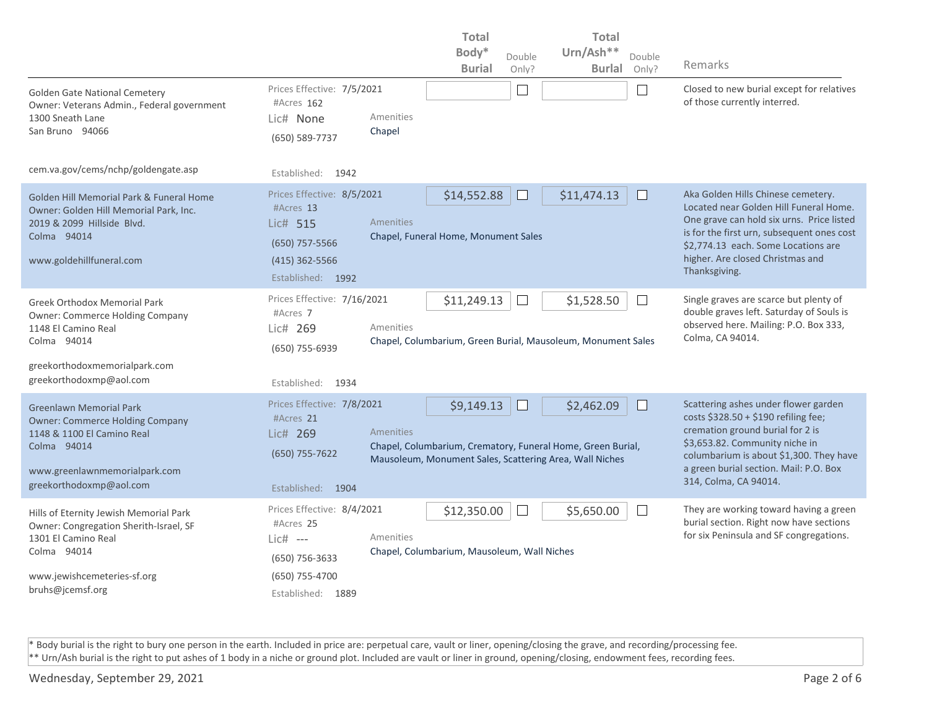|                                                                                                                                                                                   |                                                                                                                |                     | <b>Total</b>                                               |              | <b>Total</b>                                                                                                                         |                             |                                                                                                                                                                                                                                                                     |
|-----------------------------------------------------------------------------------------------------------------------------------------------------------------------------------|----------------------------------------------------------------------------------------------------------------|---------------------|------------------------------------------------------------|--------------|--------------------------------------------------------------------------------------------------------------------------------------|-----------------------------|---------------------------------------------------------------------------------------------------------------------------------------------------------------------------------------------------------------------------------------------------------------------|
|                                                                                                                                                                                   |                                                                                                                |                     | Body*                                                      | Double       | Urn/Ash**                                                                                                                            | Double                      |                                                                                                                                                                                                                                                                     |
|                                                                                                                                                                                   |                                                                                                                |                     | <b>Burial</b>                                              | Only?        | <b>Burlal</b>                                                                                                                        | Only?                       | Remarks                                                                                                                                                                                                                                                             |
| <b>Golden Gate National Cemetery</b><br>Owner: Veterans Admin., Federal government<br>1300 Sneath Lane<br>San Bruno 94066                                                         | Prices Effective: 7/5/2021<br>#Acres 162<br>Lic# None<br>(650) 589-7737                                        | Amenities<br>Chapel |                                                            | $\Box$       |                                                                                                                                      | $\mathcal{L}_{\mathcal{A}}$ | Closed to new burial except for relatives<br>of those currently interred.                                                                                                                                                                                           |
| cem.va.gov/cems/nchp/goldengate.asp                                                                                                                                               | Established:<br>1942                                                                                           |                     |                                                            |              |                                                                                                                                      |                             |                                                                                                                                                                                                                                                                     |
| Golden Hill Memorial Park & Funeral Home<br>Owner: Golden Hill Memorial Park, Inc.<br>2019 & 2099 Hillside Blvd.<br>Colma 94014<br>www.goldehillfuneral.com                       | Prices Effective: 8/5/2021<br>#Acres 13<br>Lic# 515<br>(650) 757-5566<br>$(415)$ 362-5566<br>Established: 1992 | Amenities           | \$14,552.88<br>Chapel, Funeral Home, Monument Sales        |              | \$11,474.13                                                                                                                          |                             | Aka Golden Hills Chinese cemetery.<br>Located near Golden Hill Funeral Home.<br>One grave can hold six urns. Price listed<br>is for the first urn, subsequent ones cost<br>\$2,774.13 each. Some Locations are<br>higher. Are closed Christmas and<br>Thanksgiving. |
| <b>Greek Orthodox Memorial Park</b><br>Owner: Commerce Holding Company<br>1148 El Camino Real<br>Colma 94014<br>greekorthodoxmemorialpark.com<br>greekorthodoxmp@aol.com          | Prices Effective: 7/16/2021<br>#Acres 7<br>Lic# 269<br>(650) 755-6939<br>Established: 1934                     | Amenities           | \$11,249.13                                                | $\mathbb{L}$ | \$1,528.50<br>Chapel, Columbarium, Green Burial, Mausoleum, Monument Sales                                                           | $\mathbb{R}^n$              | Single graves are scarce but plenty of<br>double graves left. Saturday of Souls is<br>observed here. Mailing: P.O. Box 333,<br>Colma, CA 94014.                                                                                                                     |
| <b>Greenlawn Memorial Park</b><br><b>Owner: Commerce Holding Company</b><br>1148 & 1100 El Camino Real<br>Colma 94014<br>www.greenlawnmemorialpark.com<br>greekorthodoxmp@aol.com | Prices Effective: 7/8/2021<br>#Acres 21<br>Lic# 269<br>(650) 755-7622<br>Established: 1904                     | <b>Amenities</b>    | \$9,149.13                                                 | H            | \$2,462.09<br>Chapel, Columbarium, Crematory, Funeral Home, Green Burial,<br>Mausoleum, Monument Sales, Scattering Area, Wall Niches | $\mathbf{L}$                | Scattering ashes under flower garden<br>costs \$328.50 + \$190 refiling fee;<br>cremation ground burial for 2 is<br>\$3,653.82. Community niche in<br>columbarium is about \$1,300. They have<br>a green burial section. Mail: P.O. Box<br>314, Colma, CA 94014.    |
| Hills of Eternity Jewish Memorial Park<br>Owner: Congregation Sherith-Israel, SF<br>1301 El Camino Real<br>Colma 94014<br>www.jewishcemeteries-sf.org<br>bruhs@jcemsf.org         | Prices Effective: 8/4/2021<br>#Acres 25<br>Lic# ---<br>$(650)$ 756-3633<br>(650) 755-4700<br>Established: 1889 | Amenities           | \$12,350.00<br>Chapel, Columbarium, Mausoleum, Wall Niches | $\Box$       | \$5,650.00                                                                                                                           | $\mathcal{L}_{\mathcal{A}}$ | They are working toward having a green<br>burial section. Right now have sections<br>for six Peninsula and SF congregations.                                                                                                                                        |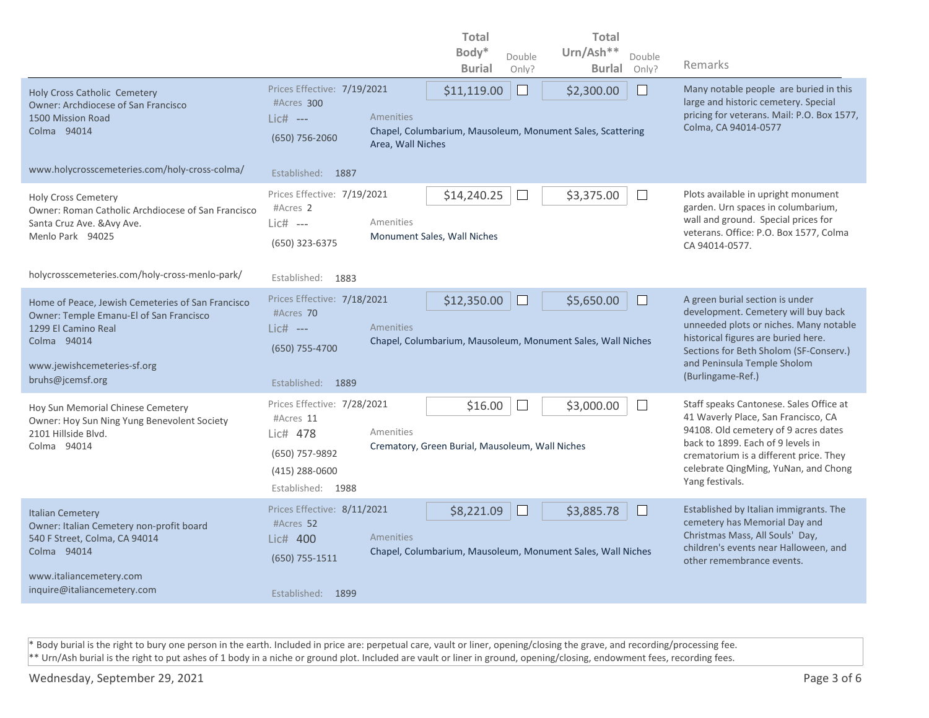|                                                                                                                                                                                       |                                                                                                                              | <b>Total</b><br><b>Total</b><br>Body*<br>Urn/Ash**                                                       |                                                                                                                                                                                                                                                                  |
|---------------------------------------------------------------------------------------------------------------------------------------------------------------------------------------|------------------------------------------------------------------------------------------------------------------------------|----------------------------------------------------------------------------------------------------------|------------------------------------------------------------------------------------------------------------------------------------------------------------------------------------------------------------------------------------------------------------------|
|                                                                                                                                                                                       |                                                                                                                              | Double<br>Double<br><b>Burial</b><br><b>Burlal</b><br>Only?<br>Only?                                     | Remarks                                                                                                                                                                                                                                                          |
| <b>Holy Cross Catholic Cemetery</b><br><b>Owner: Archdiocese of San Francisco</b><br>1500 Mission Road<br>Colma 94014                                                                 | Prices Effective: 7/19/2021<br>#Acres 300<br>Amenities<br>$Lic#$ ---<br>$(650)$ 756-2060<br>Area, Wall Niches                | \$11,119.00<br>⊔<br>\$2,300.00<br>Chapel, Columbarium, Mausoleum, Monument Sales, Scattering             | Many notable people are buried in this<br>large and historic cemetery. Special<br>pricing for veterans. Mail: P.O. Box 1577,<br>Colma, CA 94014-0577                                                                                                             |
| www.holycrosscemeteries.com/holy-cross-colma/                                                                                                                                         | Established: 1887                                                                                                            |                                                                                                          |                                                                                                                                                                                                                                                                  |
| <b>Holy Cross Cemetery</b><br>Owner: Roman Catholic Archdiocese of San Francisco<br>Santa Cruz Ave. & Avy Ave.<br>Menlo Park 94025                                                    | Prices Effective: 7/19/2021<br>#Acres 2<br>Amenities<br>Lic# ---<br>(650) 323-6375                                           | \$14,240.25<br>\$3,375.00<br>$\vert \ \ \vert$<br>$\perp$<br>Monument Sales, Wall Niches                 | Plots available in upright monument<br>garden. Urn spaces in columbarium,<br>wall and ground. Special prices for<br>veterans. Office: P.O. Box 1577, Colma<br>CA 94014-0577.                                                                                     |
| holycrosscemeteries.com/holy-cross-menlo-park/                                                                                                                                        | Established:<br>1883                                                                                                         |                                                                                                          |                                                                                                                                                                                                                                                                  |
| Home of Peace, Jewish Cemeteries of San Francisco<br>Owner: Temple Emanu-El of San Francisco<br>1299 El Camino Real<br>Colma 94014<br>www.jewishcemeteries-sf.org<br>bruhs@jcemsf.org | Prices Effective: 7/18/2021<br>#Acres 70<br>Amenities<br>$Lic#$ ---<br>(650) 755-4700<br>Established: 1889                   | \$12,350.00<br>\$5,650.00<br>$\mathbf{L}$<br>Chapel, Columbarium, Mausoleum, Monument Sales, Wall Niches | A green burial section is under<br>development. Cemetery will buy back<br>unneeded plots or niches. Many notable<br>historical figures are buried here.<br>Sections for Beth Sholom (SF-Conserv.)<br>and Peninsula Temple Sholom<br>(Burlingame-Ref.)            |
| Hoy Sun Memorial Chinese Cemetery<br>Owner: Hoy Sun Ning Yung Benevolent Society<br>2101 Hillside Blvd.<br>Colma 94014                                                                | Prices Effective: 7/28/2021<br>#Acres 11<br>Amenities<br>Lic# 478<br>(650) 757-9892<br>$(415)$ 288-0600<br>Established: 1988 | \$3,000.00<br>\$16.00<br>$\mathbf{L}$<br>Crematory, Green Burial, Mausoleum, Wall Niches                 | Staff speaks Cantonese. Sales Office at<br>41 Waverly Place, San Francisco, CA<br>94108. Old cemetery of 9 acres dates<br>back to 1899. Each of 9 levels in<br>crematorium is a different price. They<br>celebrate QingMing, YuNan, and Chong<br>Yang festivals. |
| <b>Italian Cemetery</b><br>Owner: Italian Cemetery non-profit board<br>540 F Street, Colma, CA 94014<br>Colma 94014<br>www.italiancemetery.com<br>inquire@italiancemetery.com         | Prices Effective: 8/11/2021<br>#Acres 52<br>Amenities<br>Lic# 400<br>$(650) 755 - 1511$<br>Established: 1899                 | \$8,221.09<br>\$3,885.78<br>Chapel, Columbarium, Mausoleum, Monument Sales, Wall Niches                  | Established by Italian immigrants. The<br>cemetery has Memorial Day and<br>Christmas Mass, All Souls' Day,<br>children's events near Halloween, and<br>other remembrance events.                                                                                 |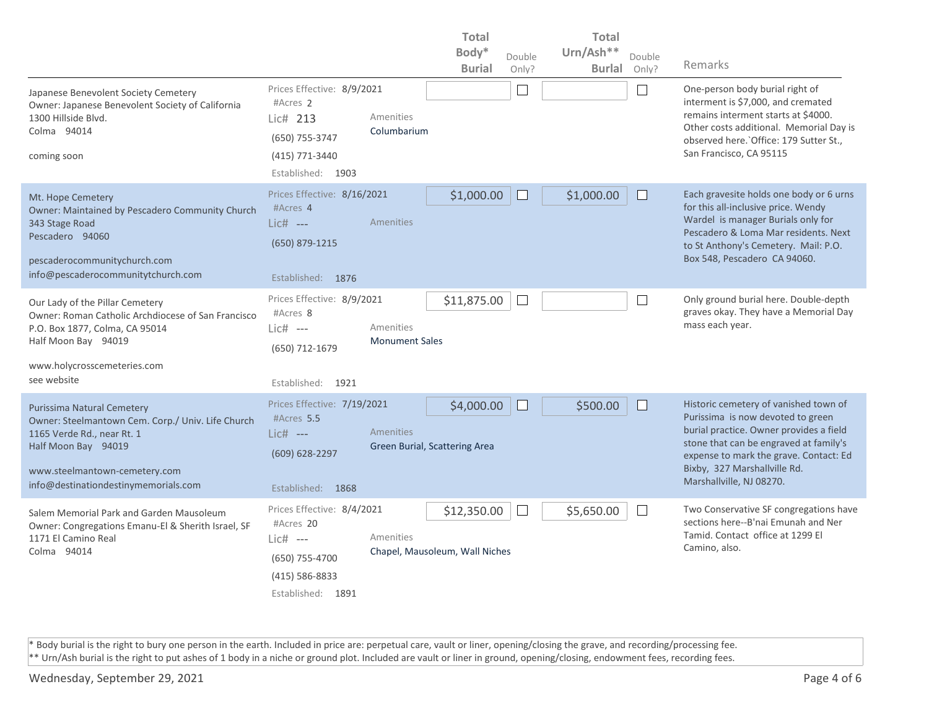|                                                                                                                                                                                                                      |                                                                                                                  |                                    | <b>Total</b><br><b>Total</b>                  |              |               |                |                                                                                                                                                                                                                                                                       |
|----------------------------------------------------------------------------------------------------------------------------------------------------------------------------------------------------------------------|------------------------------------------------------------------------------------------------------------------|------------------------------------|-----------------------------------------------|--------------|---------------|----------------|-----------------------------------------------------------------------------------------------------------------------------------------------------------------------------------------------------------------------------------------------------------------------|
|                                                                                                                                                                                                                      |                                                                                                                  |                                    | Body*                                         | Double       | Urn/Ash**     | Double         |                                                                                                                                                                                                                                                                       |
|                                                                                                                                                                                                                      |                                                                                                                  |                                    | <b>Burial</b>                                 | Only?        | <b>Burlal</b> | Only?          | Remarks                                                                                                                                                                                                                                                               |
| Japanese Benevolent Society Cemetery<br>Owner: Japanese Benevolent Society of California<br>1300 Hillside Blvd.<br>Colma 94014<br>coming soon                                                                        | Prices Effective: 8/9/2021<br>#Acres 2<br>Lic# 213<br>(650) 755-3747<br>(415) 771-3440<br>Established: 1903      | Amenities<br>Columbarium           |                                               | └            |               | $\sim$         | One-person body burial right of<br>interment is \$7,000, and cremated<br>remains interment starts at \$4000.<br>Other costs additional. Memorial Day is<br>observed here. Office: 179 Sutter St.,<br>San Francisco, CA 95115                                          |
| Mt. Hope Cemetery<br>Owner: Maintained by Pescadero Community Church<br>343 Stage Road<br>Pescadero 94060<br>pescaderocommunitychurch.com<br>info@pescaderocommunitytchurch.com                                      | Prices Effective: 8/16/2021<br>#Acres 4<br>$Lie#$ ---<br>(650) 879-1215<br>Established: 1876                     | Amenities                          | \$1,000.00                                    | $\mathbf{L}$ | \$1,000.00    |                | Each gravesite holds one body or 6 urns<br>for this all-inclusive price. Wendy<br>Wardel is manager Burials only for<br>Pescadero & Loma Mar residents. Next<br>to St Anthony's Cemetery. Mail: P.O.<br>Box 548, Pescadero CA 94060.                                  |
| Our Lady of the Pillar Cemetery<br>Owner: Roman Catholic Archdiocese of San Francisco<br>P.O. Box 1877, Colma, CA 95014<br>Half Moon Bay 94019<br>www.holycrosscemeteries.com<br>see website                         | Prices Effective: 8/9/2021<br>#Acres 8<br>$Lie#$ ---<br>(650) 712-1679<br>Established: 1921                      | Amenities<br><b>Monument Sales</b> | \$11,875.00                                   | Ш            |               | $\mathbb{R}^n$ | Only ground burial here. Double-depth<br>graves okay. They have a Memorial Day<br>mass each year.                                                                                                                                                                     |
| <b>Purissima Natural Cemetery</b><br>Owner: Steelmantown Cem. Corp./ Univ. Life Church<br>1165 Verde Rd., near Rt. 1<br>Half Moon Bay 94019<br>www.steelmantown-cemetery.com<br>info@destinationdestinymemorials.com | Prices Effective: 7/19/2021<br>#Acres 5.5<br>Lic# ---<br>(609) 628-2297<br>Established: 1868                     | Amenities                          | \$4,000.00<br>Green Burial, Scattering Area   | $\Box$       | \$500.00      |                | Historic cemetery of vanished town of<br>Purissima is now devoted to green<br>burial practice. Owner provides a field<br>stone that can be engraved at family's<br>expense to mark the grave. Contact: Ed<br>Bixby, 327 Marshallville Rd.<br>Marshallville, NJ 08270. |
| Salem Memorial Park and Garden Mausoleum<br>Owner: Congregations Emanu-El & Sherith Israel, SF<br>1171 El Camino Real<br>Colma 94014                                                                                 | Prices Effective: 8/4/2021<br>#Acres 20<br>Lic# ---<br>(650) 755-4700<br>$(415) 586 - 8833$<br>Established: 1891 | Amenities                          | \$12,350.00<br>Chapel, Mausoleum, Wall Niches | $\mathbf{L}$ | \$5,650.00    | $\mathbf{I}$   | Two Conservative SF congregations have<br>sections here--B'nai Emunah and Ner<br>Tamid. Contact office at 1299 El<br>Camino, also.                                                                                                                                    |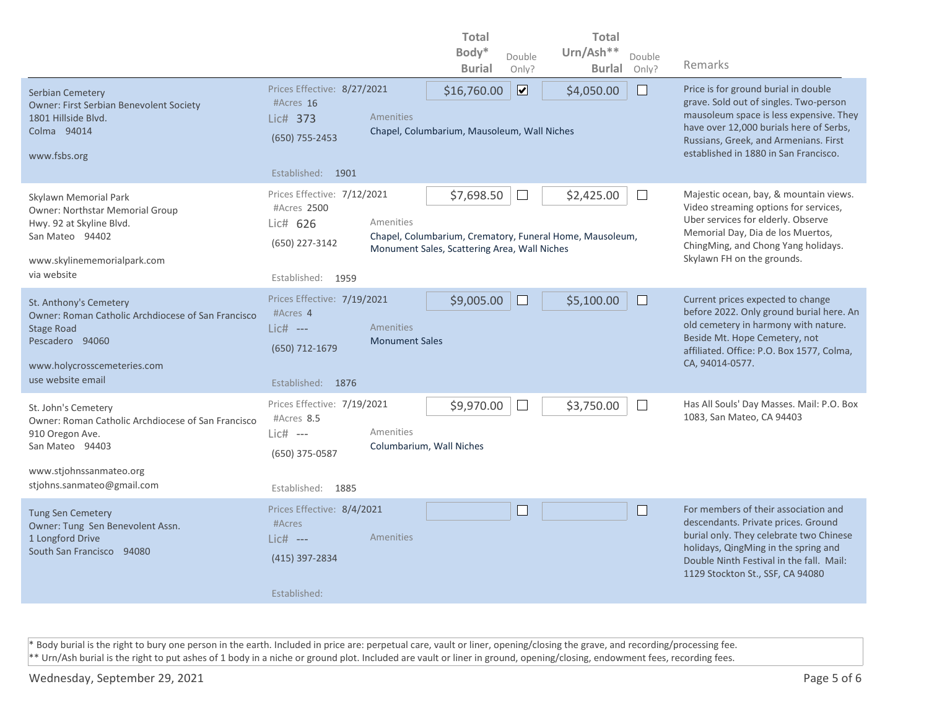|                                                                                                                                                                          |                                                                                               |                                    | <b>Total</b>                                               |                              | <b>Total</b>                                                           |              |                                                                                                                                                                                                                                                        |
|--------------------------------------------------------------------------------------------------------------------------------------------------------------------------|-----------------------------------------------------------------------------------------------|------------------------------------|------------------------------------------------------------|------------------------------|------------------------------------------------------------------------|--------------|--------------------------------------------------------------------------------------------------------------------------------------------------------------------------------------------------------------------------------------------------------|
|                                                                                                                                                                          |                                                                                               |                                    | Body*                                                      | Double                       | Urn/Ash**                                                              | Double       |                                                                                                                                                                                                                                                        |
|                                                                                                                                                                          |                                                                                               |                                    | <b>Burial</b>                                              | Only?                        | <b>Burlal</b>                                                          | Only?        | Remarks                                                                                                                                                                                                                                                |
| Serbian Cemetery<br><b>Owner: First Serbian Benevolent Society</b><br>1801 Hillside Blvd.<br>Colma 94014<br>www.fsbs.org                                                 | Prices Effective: 8/27/2021<br>#Acres 16<br>Lic# 373<br>(650) 755-2453<br>Established: 1901   | Amenities                          | \$16,760.00<br>Chapel, Columbarium, Mausoleum, Wall Niches | $\boxed{\blacktriangledown}$ | \$4,050.00                                                             | $\mathsf{I}$ | Price is for ground burial in double<br>grave. Sold out of singles. Two-person<br>mausoleum space is less expensive. They<br>have over 12,000 burials here of Serbs,<br>Russians, Greek, and Armenians. First<br>established in 1880 in San Francisco. |
| Skylawn Memorial Park<br><b>Owner: Northstar Memorial Group</b><br>Hwy. 92 at Skyline Blvd.<br>San Mateo 94402<br>www.skylinememorialpark.com<br>via website             | Prices Effective: 7/12/2021<br>#Acres 2500<br>Lic# 626<br>(650) 227-3142<br>Established: 1959 | Amenities                          | \$7,698.50<br>Monument Sales, Scattering Area, Wall Niches |                              | \$2,425.00<br>Chapel, Columbarium, Crematory, Funeral Home, Mausoleum, | $\mathbf{I}$ | Majestic ocean, bay, & mountain views.<br>Video streaming options for services,<br>Uber services for elderly. Observe<br>Memorial Day, Dia de los Muertos,<br>ChingMing, and Chong Yang holidays.<br>Skylawn FH on the grounds.                        |
| St. Anthony's Cemetery<br>Owner: Roman Catholic Archdiocese of San Francisco<br><b>Stage Road</b><br>Pescadero 94060<br>www.holycrosscemeteries.com<br>use website email | Prices Effective: 7/19/2021<br>#Acres 4<br>Lic# ---<br>(650) 712-1679<br>Established: 1876    | Amenities<br><b>Monument Sales</b> | \$9,005.00                                                 | $\Box$                       | \$5,100.00                                                             |              | Current prices expected to change<br>before 2022. Only ground burial here. An<br>old cemetery in harmony with nature.<br>Beside Mt. Hope Cemetery, not<br>affiliated. Office: P.O. Box 1577, Colma,<br>CA, 94014-0577.                                 |
| St. John's Cemetery<br>Owner: Roman Catholic Archdiocese of San Francisco<br>910 Oregon Ave.<br>San Mateo 94403<br>www.stjohnssanmateo.org<br>stjohns.sanmateo@gmail.com | Prices Effective: 7/19/2021<br>#Acres 8.5<br>Lic# ---<br>(650) 375-0587<br>Established: 1885  | Amenities                          | \$9,970.00<br>Columbarium, Wall Niches                     | $\Box$                       | \$3,750.00                                                             | $\Box$       | Has All Souls' Day Masses. Mail: P.O. Box<br>1083, San Mateo, CA 94403                                                                                                                                                                                 |
| <b>Tung Sen Cemetery</b><br>Owner: Tung Sen Benevolent Assn.<br>1 Longford Drive<br>South San Francisco 94080                                                            | Prices Effective: 8/4/2021<br>#Acres<br>$Lic#$ ---<br>(415) 397-2834<br>Established:          | Amenities                          |                                                            |                              |                                                                        | $\mathsf{I}$ | For members of their association and<br>descendants. Private prices. Ground<br>burial only. They celebrate two Chinese<br>holidays, QingMing in the spring and<br>Double Ninth Festival in the fall. Mail:<br>1129 Stockton St., SSF, CA 94080         |